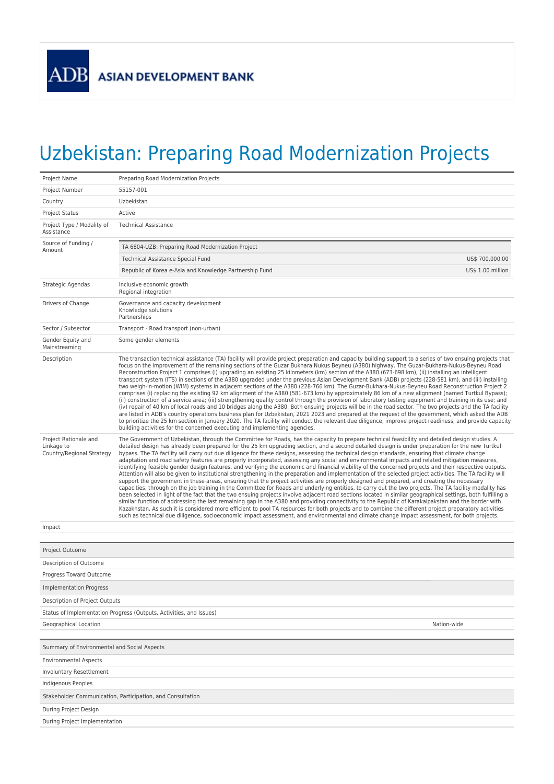## Uzbekistan: Preparing Road Modernization Projects

| Project Name                                                     | Preparing Road Modernization Projects                                                                                                                                                                                                                                                                                                                                                                                                                                                                                                                                                                                                                                                                                                                                                                                                                                                                                                                                                                                                                                                                                                                                                                                                                                                                                                                                                                                                                                                                                                                                                                                                                                                                                                                                                                                                                                    |                   |  |  |
|------------------------------------------------------------------|--------------------------------------------------------------------------------------------------------------------------------------------------------------------------------------------------------------------------------------------------------------------------------------------------------------------------------------------------------------------------------------------------------------------------------------------------------------------------------------------------------------------------------------------------------------------------------------------------------------------------------------------------------------------------------------------------------------------------------------------------------------------------------------------------------------------------------------------------------------------------------------------------------------------------------------------------------------------------------------------------------------------------------------------------------------------------------------------------------------------------------------------------------------------------------------------------------------------------------------------------------------------------------------------------------------------------------------------------------------------------------------------------------------------------------------------------------------------------------------------------------------------------------------------------------------------------------------------------------------------------------------------------------------------------------------------------------------------------------------------------------------------------------------------------------------------------------------------------------------------------|-------------------|--|--|
| Project Number                                                   | 55157-001                                                                                                                                                                                                                                                                                                                                                                                                                                                                                                                                                                                                                                                                                                                                                                                                                                                                                                                                                                                                                                                                                                                                                                                                                                                                                                                                                                                                                                                                                                                                                                                                                                                                                                                                                                                                                                                                |                   |  |  |
| Country                                                          | Uzbekistan                                                                                                                                                                                                                                                                                                                                                                                                                                                                                                                                                                                                                                                                                                                                                                                                                                                                                                                                                                                                                                                                                                                                                                                                                                                                                                                                                                                                                                                                                                                                                                                                                                                                                                                                                                                                                                                               |                   |  |  |
| <b>Project Status</b>                                            | Active                                                                                                                                                                                                                                                                                                                                                                                                                                                                                                                                                                                                                                                                                                                                                                                                                                                                                                                                                                                                                                                                                                                                                                                                                                                                                                                                                                                                                                                                                                                                                                                                                                                                                                                                                                                                                                                                   |                   |  |  |
| Project Type / Modality of<br>Assistance                         | <b>Technical Assistance</b>                                                                                                                                                                                                                                                                                                                                                                                                                                                                                                                                                                                                                                                                                                                                                                                                                                                                                                                                                                                                                                                                                                                                                                                                                                                                                                                                                                                                                                                                                                                                                                                                                                                                                                                                                                                                                                              |                   |  |  |
| Source of Funding /<br>Amount                                    | TA 6804-UZB: Preparing Road Modernization Project                                                                                                                                                                                                                                                                                                                                                                                                                                                                                                                                                                                                                                                                                                                                                                                                                                                                                                                                                                                                                                                                                                                                                                                                                                                                                                                                                                                                                                                                                                                                                                                                                                                                                                                                                                                                                        |                   |  |  |
|                                                                  | Technical Assistance Special Fund                                                                                                                                                                                                                                                                                                                                                                                                                                                                                                                                                                                                                                                                                                                                                                                                                                                                                                                                                                                                                                                                                                                                                                                                                                                                                                                                                                                                                                                                                                                                                                                                                                                                                                                                                                                                                                        | US\$ 700,000.00   |  |  |
|                                                                  | Republic of Korea e-Asia and Knowledge Partnership Fund                                                                                                                                                                                                                                                                                                                                                                                                                                                                                                                                                                                                                                                                                                                                                                                                                                                                                                                                                                                                                                                                                                                                                                                                                                                                                                                                                                                                                                                                                                                                                                                                                                                                                                                                                                                                                  | US\$ 1.00 million |  |  |
| Strategic Agendas                                                | Inclusive economic growth<br>Regional integration                                                                                                                                                                                                                                                                                                                                                                                                                                                                                                                                                                                                                                                                                                                                                                                                                                                                                                                                                                                                                                                                                                                                                                                                                                                                                                                                                                                                                                                                                                                                                                                                                                                                                                                                                                                                                        |                   |  |  |
| Drivers of Change                                                | Governance and capacity development<br>Knowledge solutions<br>Partnerships                                                                                                                                                                                                                                                                                                                                                                                                                                                                                                                                                                                                                                                                                                                                                                                                                                                                                                                                                                                                                                                                                                                                                                                                                                                                                                                                                                                                                                                                                                                                                                                                                                                                                                                                                                                               |                   |  |  |
| Sector / Subsector                                               | Transport - Road transport (non-urban)                                                                                                                                                                                                                                                                                                                                                                                                                                                                                                                                                                                                                                                                                                                                                                                                                                                                                                                                                                                                                                                                                                                                                                                                                                                                                                                                                                                                                                                                                                                                                                                                                                                                                                                                                                                                                                   |                   |  |  |
| Gender Equity and<br>Mainstreaming                               | Some gender elements                                                                                                                                                                                                                                                                                                                                                                                                                                                                                                                                                                                                                                                                                                                                                                                                                                                                                                                                                                                                                                                                                                                                                                                                                                                                                                                                                                                                                                                                                                                                                                                                                                                                                                                                                                                                                                                     |                   |  |  |
| Description                                                      | The transaction technical assistance (TA) facility will provide project preparation and capacity building support to a series of two ensuing projects that<br>focus on the improvement of the remaining sections of the Guzar Bukhara Nukus Beyneu (A380) highway. The Guzar-Bukhara-Nukus-Beyneu Road<br>Reconstruction Project 1 comprises (i) upgrading an existing 25 kilometers (km) section of the A380 (673-698 km), (ii) installing an intelligent<br>transport system (ITS) in sections of the A380 upgraded under the previous Asian Development Bank (ADB) projects (228-581 km), and (iii) installing<br>two weigh-in-motion (WIM) systems in adjacent sections of the A380 (228-766 km). The Guzar-Bukhara-Nukus-Beyneu Road Reconstruction Project 2<br>comprises (i) replacing the existing 92 km alignment of the A380 (581-673 km) by approximately 86 km of a new alignment (named Turtkul Bypass);<br>(ii) construction of a service area; (iii) strengthening quality control through the provision of laboratory testing equipment and training in its use; and<br>(iv) repair of 40 km of local roads and 10 bridges along the A380. Both ensuing projects will be in the road sector. The two projects and the TA facility<br>are listed in ADB's country operations business plan for Uzbekistan, 2021 2023 and prepared at the request of the government, which asked the ADB<br>to prioritize the 25 km section in January 2020. The TA facility will conduct the relevant due diligence, improve project readiness, and provide capacity<br>building activities for the concerned executing and implementing agencies.                                                                                                                                                                                                                        |                   |  |  |
| Project Rationale and<br>Linkage to<br>Country/Regional Strategy | The Government of Uzbekistan, through the Committee for Roads, has the capacity to prepare technical feasibility and detailed design studies. A<br>detailed design has already been prepared for the 25 km upgrading section, and a second detailed design is under preparation for the new Turtkul<br>bypass. The TA facility will carry out due diligence for these designs, assessing the technical design standards, ensuring that climate change<br>adaptation and road safety features are properly incorporated, assessing any social and environmental impacts and related mitigation measures,<br>identifying feasible gender design features, and verifying the economic and financial viability of the concerned projects and their respective outputs.<br>Attention will also be given to institutional strengthening in the preparation and implementation of the selected project activities. The TA facility will<br>support the government in these areas, ensuring that the project activities are properly designed and prepared, and creating the necessary<br>capacities, through on the job training in the Committee for Roads and underlying entities, to carry out the two projects. The TA facility modality has<br>been selected in light of the fact that the two ensuing projects involve adjacent road sections located in similar geographical settings, both fulfilling a<br>similar function of addressing the last remaining gap in the A380 and providing connectivity to the Republic of Karakalpakstan and the border with<br>Kazakhstan. As such it is considered more efficient to pool TA resources for both projects and to combine the different project preparatory activities<br>such as technical due diligence, socioeconomic impact assessment, and environmental and climate change impact assessment, for both projects. |                   |  |  |
| Impact                                                           |                                                                                                                                                                                                                                                                                                                                                                                                                                                                                                                                                                                                                                                                                                                                                                                                                                                                                                                                                                                                                                                                                                                                                                                                                                                                                                                                                                                                                                                                                                                                                                                                                                                                                                                                                                                                                                                                          |                   |  |  |
|                                                                  |                                                                                                                                                                                                                                                                                                                                                                                                                                                                                                                                                                                                                                                                                                                                                                                                                                                                                                                                                                                                                                                                                                                                                                                                                                                                                                                                                                                                                                                                                                                                                                                                                                                                                                                                                                                                                                                                          |                   |  |  |
| Project Outcome                                                  |                                                                                                                                                                                                                                                                                                                                                                                                                                                                                                                                                                                                                                                                                                                                                                                                                                                                                                                                                                                                                                                                                                                                                                                                                                                                                                                                                                                                                                                                                                                                                                                                                                                                                                                                                                                                                                                                          |                   |  |  |
| Description of Outcome                                           |                                                                                                                                                                                                                                                                                                                                                                                                                                                                                                                                                                                                                                                                                                                                                                                                                                                                                                                                                                                                                                                                                                                                                                                                                                                                                                                                                                                                                                                                                                                                                                                                                                                                                                                                                                                                                                                                          |                   |  |  |
| Progress Toward Outcome                                          |                                                                                                                                                                                                                                                                                                                                                                                                                                                                                                                                                                                                                                                                                                                                                                                                                                                                                                                                                                                                                                                                                                                                                                                                                                                                                                                                                                                                                                                                                                                                                                                                                                                                                                                                                                                                                                                                          |                   |  |  |
| <b>Implementation Progress</b>                                   |                                                                                                                                                                                                                                                                                                                                                                                                                                                                                                                                                                                                                                                                                                                                                                                                                                                                                                                                                                                                                                                                                                                                                                                                                                                                                                                                                                                                                                                                                                                                                                                                                                                                                                                                                                                                                                                                          |                   |  |  |
| Description of Project Outputs                                   |                                                                                                                                                                                                                                                                                                                                                                                                                                                                                                                                                                                                                                                                                                                                                                                                                                                                                                                                                                                                                                                                                                                                                                                                                                                                                                                                                                                                                                                                                                                                                                                                                                                                                                                                                                                                                                                                          |                   |  |  |
|                                                                  | Status of Implementation Progress (Outputs, Activities, and Issues)                                                                                                                                                                                                                                                                                                                                                                                                                                                                                                                                                                                                                                                                                                                                                                                                                                                                                                                                                                                                                                                                                                                                                                                                                                                                                                                                                                                                                                                                                                                                                                                                                                                                                                                                                                                                      |                   |  |  |
| Geographical Location                                            | Nation-wide                                                                                                                                                                                                                                                                                                                                                                                                                                                                                                                                                                                                                                                                                                                                                                                                                                                                                                                                                                                                                                                                                                                                                                                                                                                                                                                                                                                                                                                                                                                                                                                                                                                                                                                                                                                                                                                              |                   |  |  |
| Summary of Environmental and Social Aspects                      |                                                                                                                                                                                                                                                                                                                                                                                                                                                                                                                                                                                                                                                                                                                                                                                                                                                                                                                                                                                                                                                                                                                                                                                                                                                                                                                                                                                                                                                                                                                                                                                                                                                                                                                                                                                                                                                                          |                   |  |  |
| <b>Environmental Aspects</b>                                     |                                                                                                                                                                                                                                                                                                                                                                                                                                                                                                                                                                                                                                                                                                                                                                                                                                                                                                                                                                                                                                                                                                                                                                                                                                                                                                                                                                                                                                                                                                                                                                                                                                                                                                                                                                                                                                                                          |                   |  |  |
| <b>Involuntary Resettlement</b>                                  |                                                                                                                                                                                                                                                                                                                                                                                                                                                                                                                                                                                                                                                                                                                                                                                                                                                                                                                                                                                                                                                                                                                                                                                                                                                                                                                                                                                                                                                                                                                                                                                                                                                                                                                                                                                                                                                                          |                   |  |  |
| Indigenous Peoples                                               |                                                                                                                                                                                                                                                                                                                                                                                                                                                                                                                                                                                                                                                                                                                                                                                                                                                                                                                                                                                                                                                                                                                                                                                                                                                                                                                                                                                                                                                                                                                                                                                                                                                                                                                                                                                                                                                                          |                   |  |  |
| Stakeholder Communication, Participation, and Consultation       |                                                                                                                                                                                                                                                                                                                                                                                                                                                                                                                                                                                                                                                                                                                                                                                                                                                                                                                                                                                                                                                                                                                                                                                                                                                                                                                                                                                                                                                                                                                                                                                                                                                                                                                                                                                                                                                                          |                   |  |  |
| During Project Design                                            |                                                                                                                                                                                                                                                                                                                                                                                                                                                                                                                                                                                                                                                                                                                                                                                                                                                                                                                                                                                                                                                                                                                                                                                                                                                                                                                                                                                                                                                                                                                                                                                                                                                                                                                                                                                                                                                                          |                   |  |  |
| During Project Implementation                                    |                                                                                                                                                                                                                                                                                                                                                                                                                                                                                                                                                                                                                                                                                                                                                                                                                                                                                                                                                                                                                                                                                                                                                                                                                                                                                                                                                                                                                                                                                                                                                                                                                                                                                                                                                                                                                                                                          |                   |  |  |
|                                                                  |                                                                                                                                                                                                                                                                                                                                                                                                                                                                                                                                                                                                                                                                                                                                                                                                                                                                                                                                                                                                                                                                                                                                                                                                                                                                                                                                                                                                                                                                                                                                                                                                                                                                                                                                                                                                                                                                          |                   |  |  |